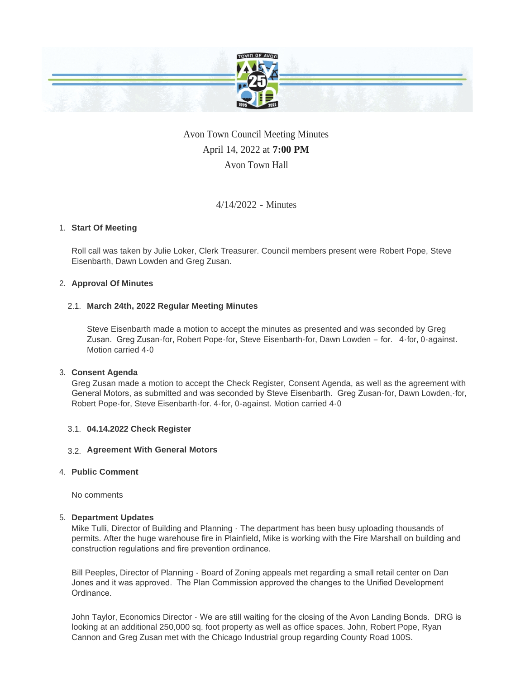

# Avon Town Council Meeting Minutes April 14, 2022 at **7:00 PM** Avon Town Hall

# 4/14/2022 - Minutes

# **Start Of Meeting** 1.

Roll call was taken by Julie Loker, Clerk Treasurer. Council members present were Robert Pope, Steve Eisenbarth, Dawn Lowden and Greg Zusan.

## **Approval Of Minutes** 2.

## **March 24th, 2022 Regular Meeting Minutes** 2.1.

Steve Eisenbarth made a motion to accept the minutes as presented and was seconded by Greg Zusan. Greg Zusan-for, Robert Pope-for, Steve Eisenbarth-for, Dawn Lowden – for. 4-for, 0-against. Motion carried 4-0

## **Consent Agenda** 3.

Greg Zusan made a motion to accept the Check Register, Consent Agenda, as well as the agreement with General Motors, as submitted and was seconded by Steve Eisenbarth. Greg Zusan-for, Dawn Lowden,-for, Robert Pope-for, Steve Eisenbarth-for. 4-for, 0-against. Motion carried 4-0

## **04.14.2022 Check Register** 3.1.

# **Agreement With General Motors**  3.2.

## **Public Comment** 4.

No comments

## **Department Updates** 5.

Mike Tulli, Director of Building and Planning - The department has been busy uploading thousands of permits. After the huge warehouse fire in Plainfield, Mike is working with the Fire Marshall on building and construction regulations and fire prevention ordinance.

Bill Peeples, Director of Planning - Board of Zoning appeals met regarding a small retail center on Dan Jones and it was approved. The Plan Commission approved the changes to the Unified Development Ordinance.

John Taylor, Economics Director - We are still waiting for the closing of the Avon Landing Bonds. DRG is looking at an additional 250,000 sq. foot property as well as office spaces. John, Robert Pope, Ryan Cannon and Greg Zusan met with the Chicago Industrial group regarding County Road 100S.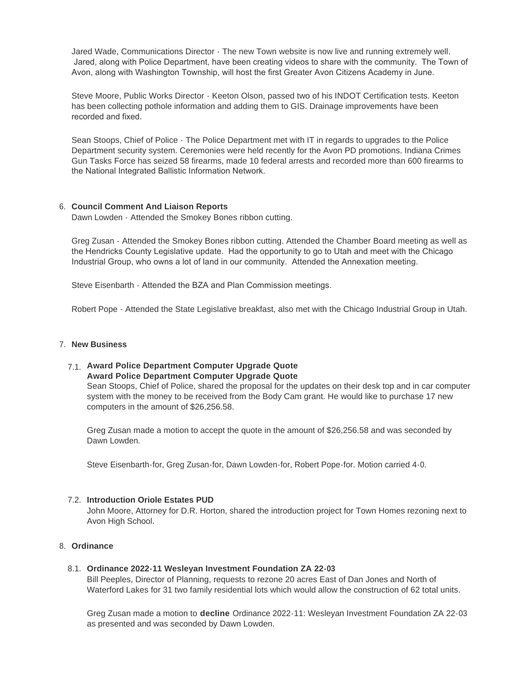Jared Wade, Communications Director - The new Town website is now live and running extremely well. Jared, along with Police Department, have been creating videos to share with the community. The Town of Avon, along with Washington Township, will host the first Greater Avon Citizens Academy in June.

Steve Moore, Public Works Director - Keeton Olson, passed two of his INDOT Certification tests. Keeton has been collecting pothole information and adding them to GIS. Drainage improvements have been recorded and fixed.

Sean Stoops, Chief of Police - The Police Department met with IT in regards to upgrades to the Police Department security system. Ceremonies were held recently for the Avon PD promotions. Indiana Crimes Gun Tasks Force has seized 58 firearms, made 10 federal arrests and recorded more than 600 firearms to the National Integrated Ballistic Information Network.

## **Council Comment And Liaison Reports** 6.

Dawn Lowden - Attended the Smokey Bones ribbon cutting.

Greg Zusan - Attended the Smokey Bones ribbon cutting. Attended the Chamber Board meeting as well as the Hendricks County Legislative update. Had the opportunity to go to Utah and meet with the Chicago Industrial Group, who owns a lot of land in our community. Attended the Annexation meeting.

Steve Eisenbarth - Attended the BZA and Plan Commission meetings.

Robert Pope - Attended the State Legislative breakfast, also met with the Chicago Industrial Group in Utah.

#### **New Business** 7.

# **Award Police Department Computer Upgrade Quote**  7.1. **Award Police Department Computer Upgrade Quote**

Sean Stoops, Chief of Police, shared the proposal for the updates on their desk top and in car computer system with the money to be received from the Body Cam grant. He would like to purchase 17 new computers in the amount of \$26,256.58.

Greg Zusan made a motion to accept the quote in the amount of \$26,256.58 and was seconded by Dawn Lowden.

Steve Eisenbarth-for, Greg Zusan-for, Dawn Lowden-for, Robert Pope-for. Motion carried 4-0.

## **Introduction Oriole Estates PUD** 7.2.

John Moore, Attorney for D.R. Horton, shared the introduction project for Town Homes rezoning next to Avon High School.

## **Ordinance** 8.

## **Ordinance 2022-11 Wesleyan Investment Foundation ZA 22-03** 8.1.

Bill Peeples, Director of Planning, requests to rezone 20 acres East of Dan Jones and North of Waterford Lakes for 31 two family residential lots which would allow the construction of 62 total units.

Greg Zusan made a motion to **decline** Ordinance 2022-11: Wesleyan Investment Foundation ZA 22-03 as presented and was seconded by Dawn Lowden.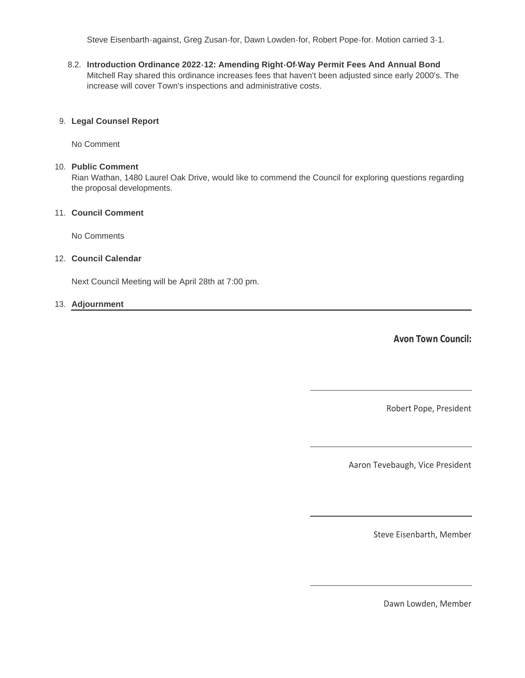Steve Eisenbarth-against, Greg Zusan-for, Dawn Lowden-for, Robert Pope-for. Motion carried 3-1.

**Introduction Ordinance 2022-12: Amending Right-Of-Way Permit Fees And Annual Bond** 8.2. Mitchell Ray shared this ordinance increases fees that haven't been adjusted since early 2000's. The increase will cover Town's inspections and administrative costs.

#### **Legal Counsel Report** 9.

No Comment

#### **Public Comment** 10.

Rian Wathan, 1480 Laurel Oak Drive, would like to commend the Council for exploring questions regarding the proposal developments.

### **Council Comment** 11.

No Comments

#### **Council Calendar** 12.

Next Council Meeting will be April 28th at 7:00 pm.

#### **Adjournment** 13.

**Avon Town Council:**

Robert Pope, President

Aaron Tevebaugh, Vice President

Steve Eisenbarth, Member

Dawn Lowden, Member